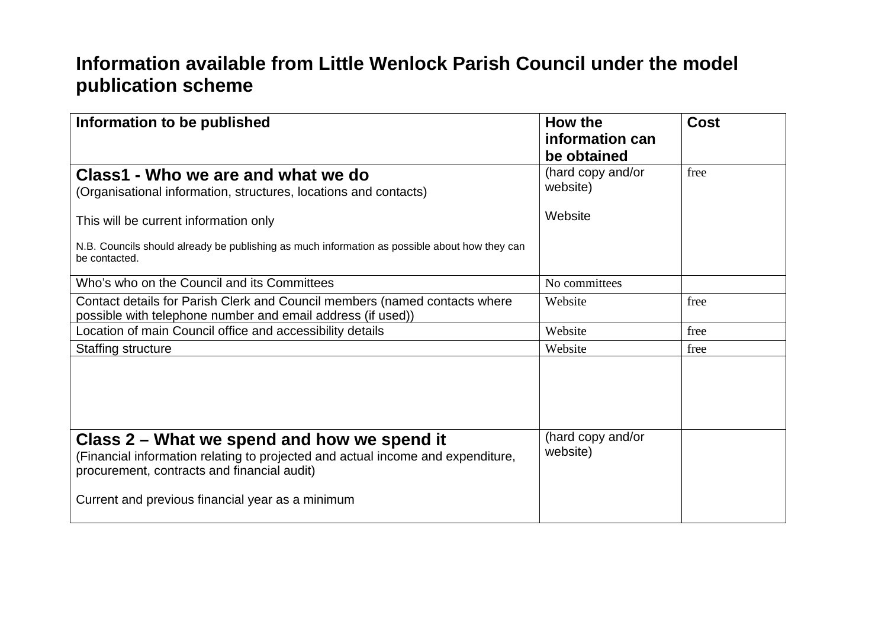## **Information available from Little Wenlock Parish Council under the model publication scheme**

| Information to be published                                                                                                                                                   | How the<br>information can<br>be obtained | <b>Cost</b> |
|-------------------------------------------------------------------------------------------------------------------------------------------------------------------------------|-------------------------------------------|-------------|
| Class1 - Who we are and what we do<br>(Organisational information, structures, locations and contacts)                                                                        | (hard copy and/or<br>website)             | free        |
| This will be current information only                                                                                                                                         | Website                                   |             |
| N.B. Councils should already be publishing as much information as possible about how they can<br>be contacted.                                                                |                                           |             |
| Who's who on the Council and its Committees                                                                                                                                   | No committees                             |             |
| Contact details for Parish Clerk and Council members (named contacts where<br>possible with telephone number and email address (if used))                                     | Website                                   | free        |
| Location of main Council office and accessibility details                                                                                                                     | Website                                   | free        |
| <b>Staffing structure</b>                                                                                                                                                     | Website                                   | free        |
|                                                                                                                                                                               |                                           |             |
| Class 2 – What we spend and how we spend it<br>(Financial information relating to projected and actual income and expenditure,<br>procurement, contracts and financial audit) | (hard copy and/or<br>website)             |             |
| Current and previous financial year as a minimum                                                                                                                              |                                           |             |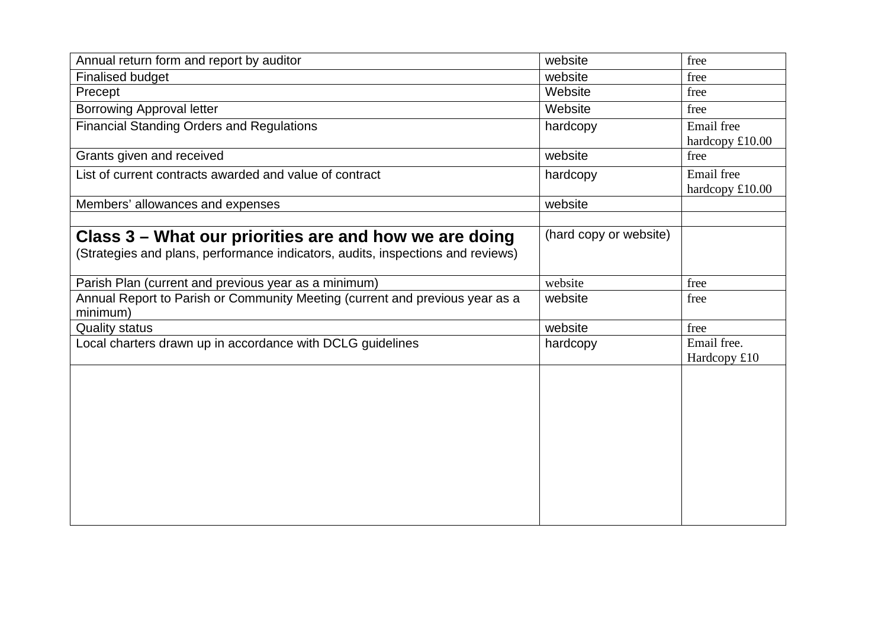| Annual return form and report by auditor                                                 | website                | free            |
|------------------------------------------------------------------------------------------|------------------------|-----------------|
| <b>Finalised budget</b>                                                                  | website                | free            |
| Precept                                                                                  | Website                | free            |
| <b>Borrowing Approval letter</b>                                                         | Website                | free            |
| <b>Financial Standing Orders and Regulations</b>                                         | hardcopy               | Email free      |
|                                                                                          |                        | hardcopy £10.00 |
| Grants given and received                                                                | website                | free            |
| List of current contracts awarded and value of contract                                  | hardcopy               | Email free      |
|                                                                                          |                        | hardcopy £10.00 |
| Members' allowances and expenses                                                         | website                |                 |
|                                                                                          |                        |                 |
| Class 3 – What our priorities are and how we are doing                                   | (hard copy or website) |                 |
| (Strategies and plans, performance indicators, audits, inspections and reviews)          |                        |                 |
| Parish Plan (current and previous year as a minimum)                                     | website                | free            |
| Annual Report to Parish or Community Meeting (current and previous year as a<br>minimum) | website                | free            |
| <b>Quality status</b>                                                                    | website                | free            |
| Local charters drawn up in accordance with DCLG guidelines                               | hardcopy               | Email free.     |
|                                                                                          |                        | Hardcopy £10    |
|                                                                                          |                        |                 |
|                                                                                          |                        |                 |
|                                                                                          |                        |                 |
|                                                                                          |                        |                 |
|                                                                                          |                        |                 |
|                                                                                          |                        |                 |
|                                                                                          |                        |                 |
|                                                                                          |                        |                 |
|                                                                                          |                        |                 |
|                                                                                          |                        |                 |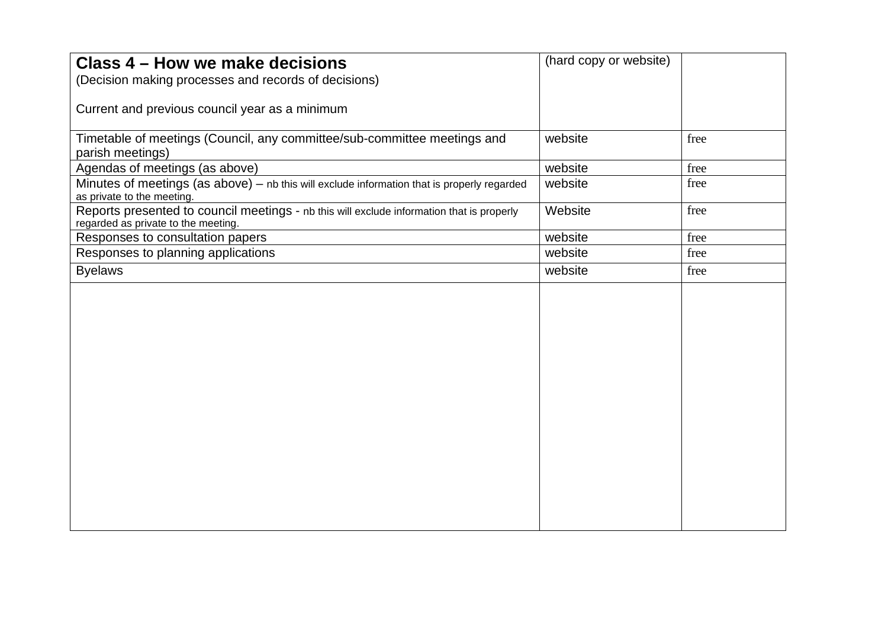| Class 4 – How we make decisions                                                              | (hard copy or website) |      |
|----------------------------------------------------------------------------------------------|------------------------|------|
| (Decision making processes and records of decisions)                                         |                        |      |
|                                                                                              |                        |      |
| Current and previous council year as a minimum                                               |                        |      |
|                                                                                              |                        |      |
| Timetable of meetings (Council, any committee/sub-committee meetings and<br>parish meetings) | website                | free |
| Agendas of meetings (as above)                                                               | website                | free |
| Minutes of meetings (as above) - nb this will exclude information that is properly regarded  | website                | free |
| as private to the meeting.                                                                   |                        |      |
| Reports presented to council meetings - nb this will exclude information that is properly    | Website                | free |
| regarded as private to the meeting.                                                          |                        |      |
| Responses to consultation papers                                                             | website                | free |
| Responses to planning applications                                                           | website                | free |
| <b>Byelaws</b>                                                                               | website                | free |
|                                                                                              |                        |      |
|                                                                                              |                        |      |
|                                                                                              |                        |      |
|                                                                                              |                        |      |
|                                                                                              |                        |      |
|                                                                                              |                        |      |
|                                                                                              |                        |      |
|                                                                                              |                        |      |
|                                                                                              |                        |      |
|                                                                                              |                        |      |
|                                                                                              |                        |      |
|                                                                                              |                        |      |
|                                                                                              |                        |      |
|                                                                                              |                        |      |
|                                                                                              |                        |      |
|                                                                                              |                        |      |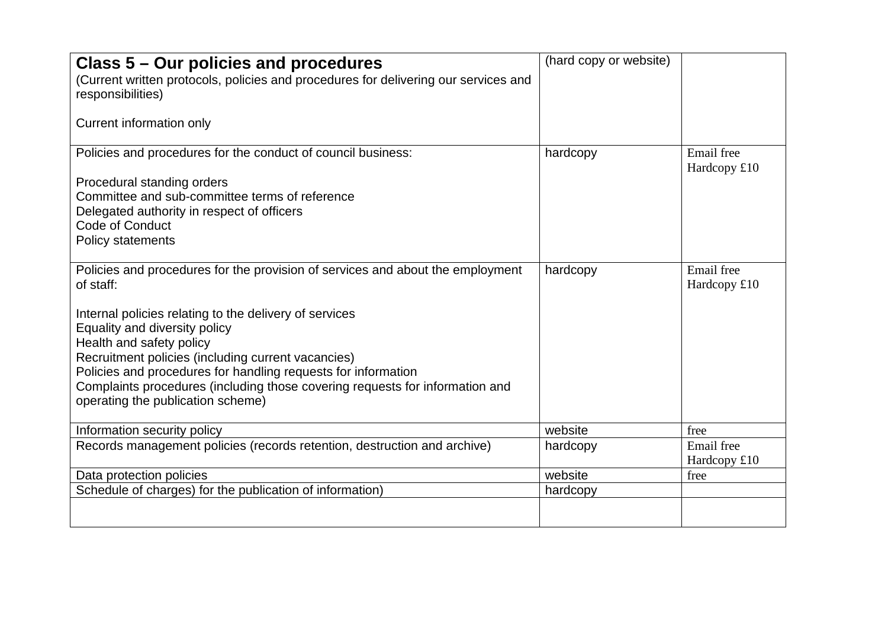| Class 5 – Our policies and procedures<br>(Current written protocols, policies and procedures for delivering our services and<br>responsibilities)<br>Current information only                                                                                                                                                                                                                                                                                  | (hard copy or website) |                            |
|----------------------------------------------------------------------------------------------------------------------------------------------------------------------------------------------------------------------------------------------------------------------------------------------------------------------------------------------------------------------------------------------------------------------------------------------------------------|------------------------|----------------------------|
| Policies and procedures for the conduct of council business:<br>Procedural standing orders<br>Committee and sub-committee terms of reference<br>Delegated authority in respect of officers<br>Code of Conduct<br><b>Policy statements</b>                                                                                                                                                                                                                      | hardcopy               | Email free<br>Hardcopy £10 |
| Policies and procedures for the provision of services and about the employment<br>of staff:<br>Internal policies relating to the delivery of services<br>Equality and diversity policy<br>Health and safety policy<br>Recruitment policies (including current vacancies)<br>Policies and procedures for handling requests for information<br>Complaints procedures (including those covering requests for information and<br>operating the publication scheme) | hardcopy               | Email free<br>Hardcopy £10 |
| Information security policy                                                                                                                                                                                                                                                                                                                                                                                                                                    | website                | free                       |
| Records management policies (records retention, destruction and archive)                                                                                                                                                                                                                                                                                                                                                                                       | hardcopy               | Email free<br>Hardcopy £10 |
| Data protection policies                                                                                                                                                                                                                                                                                                                                                                                                                                       | website                | free                       |
| Schedule of charges) for the publication of information)                                                                                                                                                                                                                                                                                                                                                                                                       | hardcopy               |                            |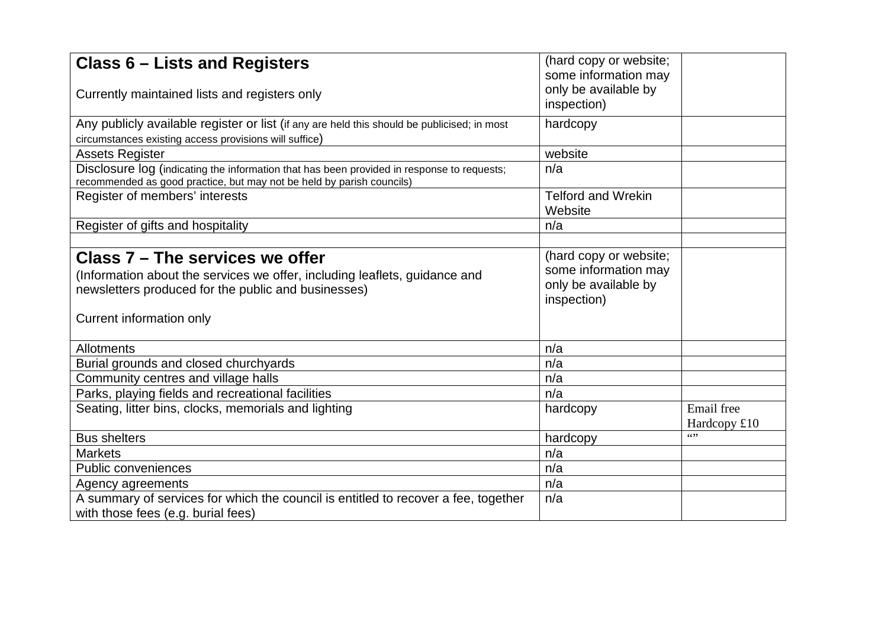| <b>Class 6 – Lists and Registers</b>                                                                                                                                 | (hard copy or website;<br>some information may                                        |              |
|----------------------------------------------------------------------------------------------------------------------------------------------------------------------|---------------------------------------------------------------------------------------|--------------|
|                                                                                                                                                                      | only be available by                                                                  |              |
| Currently maintained lists and registers only                                                                                                                        | inspection)                                                                           |              |
| Any publicly available register or list (if any are held this should be publicised; in most                                                                          | hardcopy                                                                              |              |
| circumstances existing access provisions will suffice)                                                                                                               |                                                                                       |              |
| <b>Assets Register</b>                                                                                                                                               | website                                                                               |              |
| Disclosure log (indicating the information that has been provided in response to requests;<br>recommended as good practice, but may not be held by parish councils)  | n/a                                                                                   |              |
| Register of members' interests                                                                                                                                       | <b>Telford and Wrekin</b><br>Website                                                  |              |
| Register of gifts and hospitality                                                                                                                                    | n/a                                                                                   |              |
|                                                                                                                                                                      |                                                                                       |              |
| Class 7 – The services we offer<br>(Information about the services we offer, including leaflets, guidance and<br>newsletters produced for the public and businesses) | (hard copy or website;<br>some information may<br>only be available by<br>inspection) |              |
| Current information only                                                                                                                                             |                                                                                       |              |
| <b>Allotments</b>                                                                                                                                                    | n/a                                                                                   |              |
| Burial grounds and closed churchyards                                                                                                                                | n/a                                                                                   |              |
| Community centres and village halls                                                                                                                                  | n/a                                                                                   |              |
| Parks, playing fields and recreational facilities                                                                                                                    | n/a                                                                                   |              |
| Seating, litter bins, clocks, memorials and lighting                                                                                                                 | hardcopy                                                                              | Email free   |
|                                                                                                                                                                      |                                                                                       | Hardcopy £10 |
| <b>Bus shelters</b>                                                                                                                                                  | hardcopy                                                                              | 6522         |
| <b>Markets</b>                                                                                                                                                       | n/a                                                                                   |              |
| <b>Public conveniences</b>                                                                                                                                           | n/a                                                                                   |              |
| Agency agreements                                                                                                                                                    | n/a                                                                                   |              |
| A summary of services for which the council is entitled to recover a fee, together<br>with those fees (e.g. burial fees)                                             | n/a                                                                                   |              |